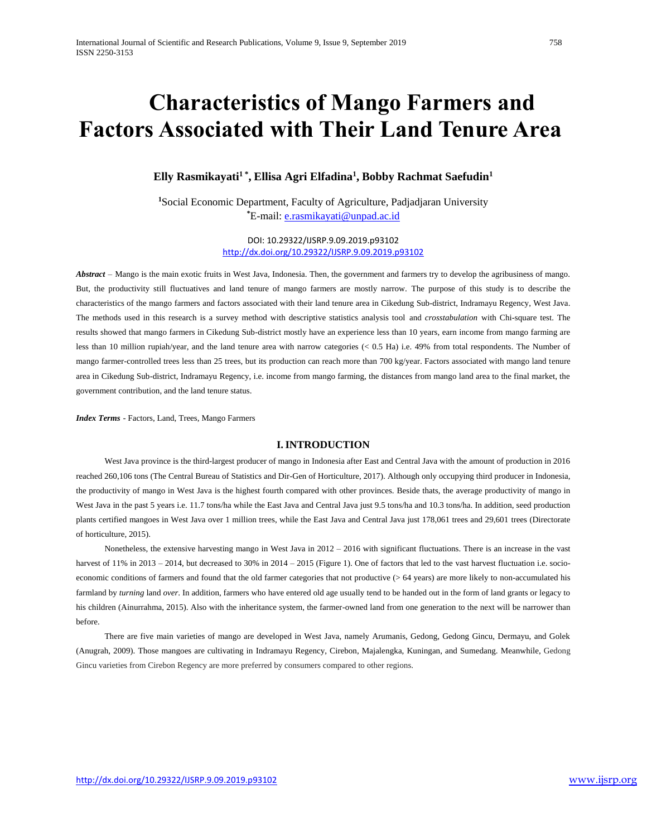# **Characteristics of Mango Farmers and Factors Associated with Their Land Tenure Area**

# **Elly Rasmikayati1 \* , Ellisa Agri Elfadina<sup>1</sup> , Bobby Rachmat Saefudin<sup>1</sup>**

**<sup>1</sup>**Social Economic Department, Faculty of Agriculture, Padjadjaran University **\***E-mail: [e.rasmikayati@unpad.ac.id](mailto:e.rasmikayati@unpad.ac.id)

> DOI: 10.29322/IJSRP.9.09.2019.p93102 <http://dx.doi.org/10.29322/IJSRP.9.09.2019.p93102>

*Abstract* – Mango is the main exotic fruits in West Java, Indonesia. Then, the government and farmers try to develop the agribusiness of mango. But, the productivity still fluctuatives and land tenure of mango farmers are mostly narrow. The purpose of this study is to describe the characteristics of the mango farmers and factors associated with their land tenure area in Cikedung Sub-district, Indramayu Regency, West Java. The methods used in this research is a survey method with descriptive statistics analysis tool and *crosstabulation* with Chi-square test. The results showed that mango farmers in Cikedung Sub-district mostly have an experience less than 10 years, earn income from mango farming are less than 10 million rupiah/year, and the land tenure area with narrow categories (< 0.5 Ha) i.e. 49% from total respondents. The Number of mango farmer-controlled trees less than 25 trees, but its production can reach more than 700 kg/year. Factors associated with mango land tenure area in Cikedung Sub-district, Indramayu Regency, i.e. income from mango farming, the distances from mango land area to the final market, the government contribution, and the land tenure status.

*Index Terms* - Factors, Land, Trees, Mango Farmers

# **I.INTRODUCTION**

West Java province is the third-largest producer of mango in Indonesia after East and Central Java with the amount of production in 2016 reached 260,106 tons (The Central Bureau of Statistics and Dir-Gen of Horticulture, 2017). Although only occupying third producer in Indonesia, the productivity of mango in West Java is the highest fourth compared with other provinces. Beside thats, the average productivity of mango in West Java in the past 5 years i.e. 11.7 tons/ha while the East Java and Central Java just 9.5 tons/ha and 10.3 tons/ha. In addition, seed production plants certified mangoes in West Java over 1 million trees, while the East Java and Central Java just 178,061 trees and 29,601 trees (Directorate of horticulture, 2015).

Nonetheless, the extensive harvesting mango in West Java in 2012 – 2016 with significant fluctuations. There is an increase in the vast harvest of 11% in 2013 – 2014, but decreased to 30% in 2014 – 2015 (Figure 1). One of factors that led to the vast harvest fluctuation i.e. socioeconomic conditions of farmers and found that the old farmer categories that not productive (> 64 years) are more likely to non-accumulated his farmland by *turning* land *over*. In addition, farmers who have entered old age usually tend to be handed out in the form of land grants or legacy to his children (Ainurrahma, 2015). Also with the inheritance system, the farmer-owned land from one generation to the next will be narrower than before.

There are five main varieties of mango are developed in West Java, namely Arumanis, Gedong, Gedong Gincu, Dermayu, and Golek (Anugrah, 2009). Those mangoes are cultivating in Indramayu Regency, Cirebon, Majalengka, Kuningan, and Sumedang. Meanwhile, Gedong Gincu varieties from Cirebon Regency are more preferred by consumers compared to other regions.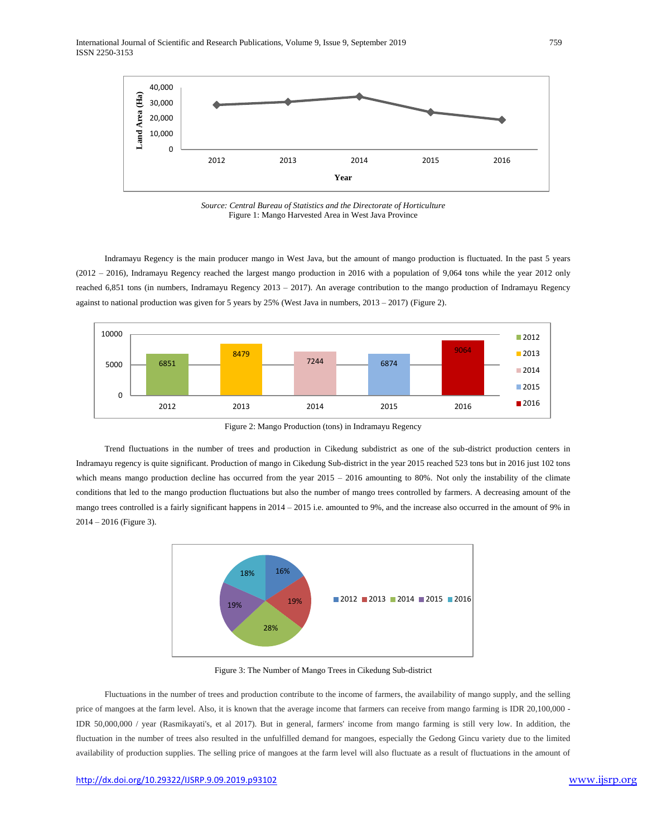

*Source: Central Bureau of Statistics and the Directorate of Horticulture* Figure 1: Mango Harvested Area in West Java Province

Indramayu Regency is the main producer mango in West Java, but the amount of mango production is fluctuated. In the past 5 years (2012 – 2016), Indramayu Regency reached the largest mango production in 2016 with a population of 9,064 tons while the year 2012 only reached 6,851 tons (in numbers, Indramayu Regency 2013 – 2017). An average contribution to the mango production of Indramayu Regency against to national production was given for 5 years by 25% (West Java in numbers, 2013 – 2017) (Figure 2).



Figure 2: Mango Production (tons) in Indramayu Regency

Trend fluctuations in the number of trees and production in Cikedung subdistrict as one of the sub-district production centers in Indramayu regency is quite significant. Production of mango in Cikedung Sub-district in the year 2015 reached 523 tons but in 2016 just 102 tons which means mango production decline has occurred from the year 2015 – 2016 amounting to 80%. Not only the instability of the climate conditions that led to the mango production fluctuations but also the number of mango trees controlled by farmers. A decreasing amount of the mango trees controlled is a fairly significant happens in 2014 – 2015 i.e. amounted to 9%, and the increase also occurred in the amount of 9% in 2014 – 2016 (Figure 3).



Figure 3: The Number of Mango Trees in Cikedung Sub-district

Fluctuations in the number of trees and production contribute to the income of farmers, the availability of mango supply, and the selling price of mangoes at the farm level. Also, it is known that the average income that farmers can receive from mango farming is IDR 20,100,000 -IDR 50,000,000 / year (Rasmikayati's, et al 2017). But in general, farmers' income from mango farming is still very low. In addition, the fluctuation in the number of trees also resulted in the unfulfilled demand for mangoes, especially the Gedong Gincu variety due to the limited availability of production supplies. The selling price of mangoes at the farm level will also fluctuate as a result of fluctuations in the amount of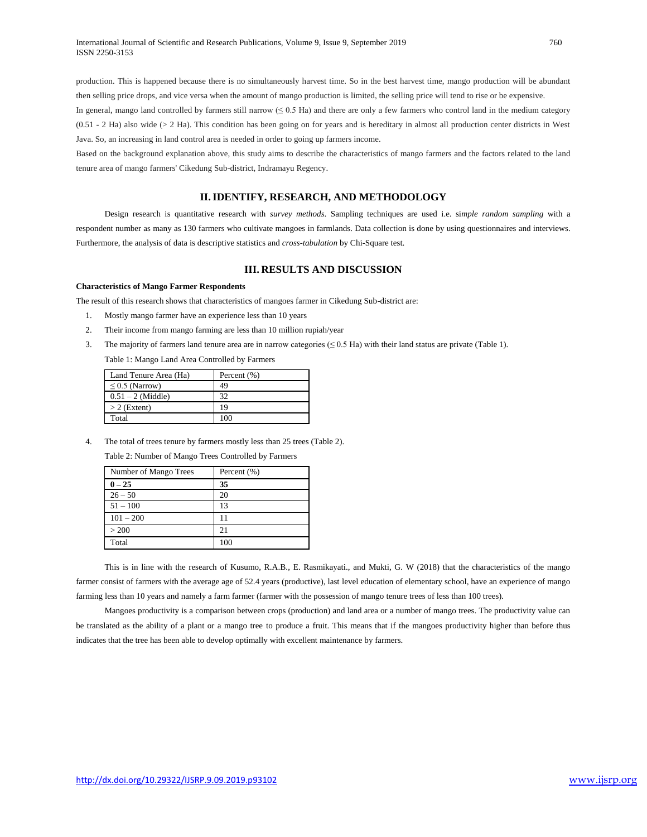production. This is happened because there is no simultaneously harvest time. So in the best harvest time, mango production will be abundant then selling price drops, and vice versa when the amount of mango production is limited, the selling price will tend to rise or be expensive.

In general, mango land controlled by farmers still narrow  $(≤ 0.5$  Ha) and there are only a few farmers who control land in the medium category  $(0.51 - 2$  Ha) also wide ( $> 2$  Ha). This condition has been going on for years and is hereditary in almost all production center districts in West Java. So, an increasing in land control area is needed in order to going up farmers income.

Based on the background explanation above, this study aims to describe the characteristics of mango farmers and the factors related to the land tenure area of mango farmers' Cikedung Sub-district, Indramayu Regency.

## **II.IDENTIFY, RESEARCH, AND METHODOLOGY**

Design research is quantitative research with *survey methods*. Sampling techniques are used i.e. si*mple random sampling* with a respondent number as many as 130 farmers who cultivate mangoes in farmlands. Data collection is done by using questionnaires and interviews. Furthermore, the analysis of data is descriptive statistics and *cross-tabulation* by Chi-Square test.

## **III. RESULTS AND DISCUSSION**

#### **Characteristics of Mango Farmer Respondents**

The result of this research shows that characteristics of mangoes farmer in Cikedung Sub-district are:

- 1. Mostly mango farmer have an experience less than 10 years
- 2. Their income from mango farming are less than 10 million rupiah/year
- 3. The majority of farmers land tenure area are in narrow categories  $(\leq 0.5 \text{ Ha})$  with their land status are private (Table 1).

Table 1: Mango Land Area Controlled by Farmers

| Land Tenure Area (Ha) | Percent (%) |
|-----------------------|-------------|
| $\leq$ 0.5 (Narrow)   | 49          |
| $0.51 - 2$ (Middle)   | 32          |
| $>$ 2 (Extent)        | 19          |
| Total                 | 100         |

4. The total of trees tenure by farmers mostly less than 25 trees (Table 2).

Table 2: Number of Mango Trees Controlled by Farmers

| Number of Mango Trees | Percent (%) |
|-----------------------|-------------|
| $0 - 25$              | 35          |
| $26 - 50$             | 20          |
| $51 - 100$            | 13          |
| $101 - 200$           | 11          |
| > 200                 | 21          |
| Total                 | 100         |

This is in line with the research of Kusumo, R.A.B., E. Rasmikayati., and Mukti, G. W (2018) that the characteristics of the mango farmer consist of farmers with the average age of 52.4 years (productive), last level education of elementary school, have an experience of mango farming less than 10 years and namely a farm farmer (farmer with the possession of mango tenure trees of less than 100 trees).

Mangoes productivity is a comparison between crops (production) and land area or a number of mango trees. The productivity value can be translated as the ability of a plant or a mango tree to produce a fruit. This means that if the mangoes productivity higher than before thus indicates that the tree has been able to develop optimally with excellent maintenance by farmers.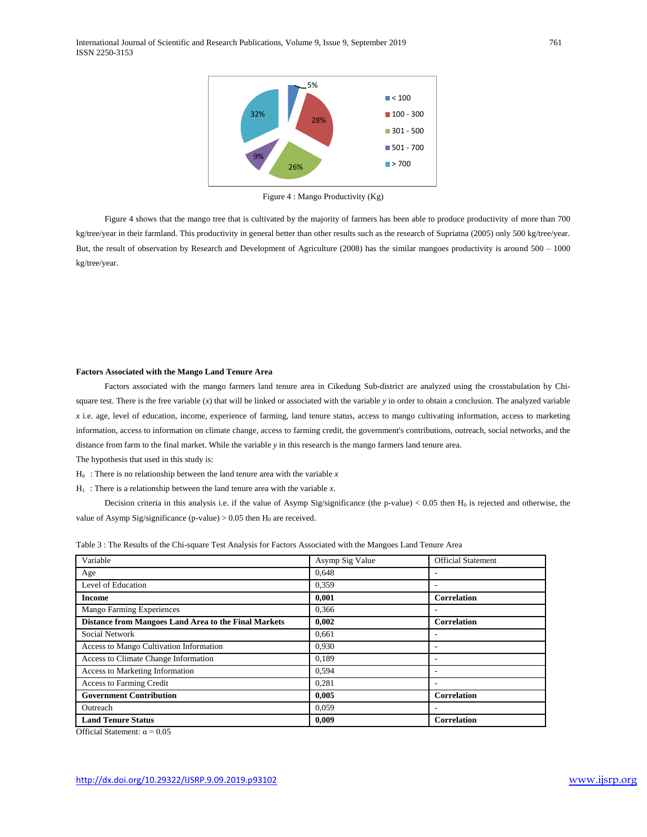

Figure 4 : Mango Productivity (Kg)

Figure 4 shows that the mango tree that is cultivated by the majority of farmers has been able to produce productivity of more than 700 kg/tree/year in their farmland. This productivity in general better than other results such as the research of Supriatna (2005) only 500 kg/tree/year. But, the result of observation by Research and Development of Agriculture (2008) has the similar mangoes productivity is around 500 – 1000 kg/tree/year.

#### **Factors Associated with the Mango Land Tenure Area**

Factors associated with the mango farmers land tenure area in Cikedung Sub-district are analyzed using the crosstabulation by Chisquare test. There is the free variable (*x*) that will be linked or associated with the variable *y* in order to obtain a conclusion. The analyzed variable *x* i.e. age, level of education, income, experience of farming, land tenure status, access to mango cultivating information, access to marketing information, access to information on climate change, access to farming credit, the government's contributions, outreach, social networks, and the distance from farm to the final market. While the variable *y* in this research is the mango farmers land tenure area.

The hypothesis that used in this study is:

 $H_0$ : There is no relationship between the land tenure area with the variable  $x$ 

 $H_1$ : There is a relationship between the land tenure area with the variable *x*.

Decision criteria in this analysis i.e. if the value of Asymp Sig/significance (the p-value)  $< 0.05$  then  $H_0$  is rejected and otherwise, the value of Asymp Sig/significance (p-value)  $> 0.05$  then  $H_0$  are received.

| Variable                                             | Asymp Sig Value | <b>Official Statement</b> |
|------------------------------------------------------|-----------------|---------------------------|
| Age                                                  | 0.648           | ۰                         |
| Level of Education                                   | 0.359           | $\overline{\phantom{a}}$  |
| <b>Income</b>                                        | 0.001           | <b>Correlation</b>        |
| <b>Mango Farming Experiences</b>                     | 0,366           |                           |
| Distance from Mangoes Land Area to the Final Markets | 0,002           | Correlation               |
| Social Network                                       | 0,661           |                           |
| Access to Mango Cultivation Information              | 0.930           | ٠                         |
| Access to Climate Change Information                 | 0.189           |                           |
| Access to Marketing Information                      | 0,594           |                           |
| <b>Access to Farming Credit</b>                      | 0.281           | $\overline{\phantom{a}}$  |
| <b>Government Contribution</b>                       | 0,005           | <b>Correlation</b>        |
| Outreach                                             | 0.059           |                           |
| <b>Land Tenure Status</b>                            | 0.009           | <b>Correlation</b>        |

Table 3 : The Results of the Chi-square Test Analysis for Factors Associated with the Mangoes Land Tenure Area

Official Statement:  $\alpha = 0.05$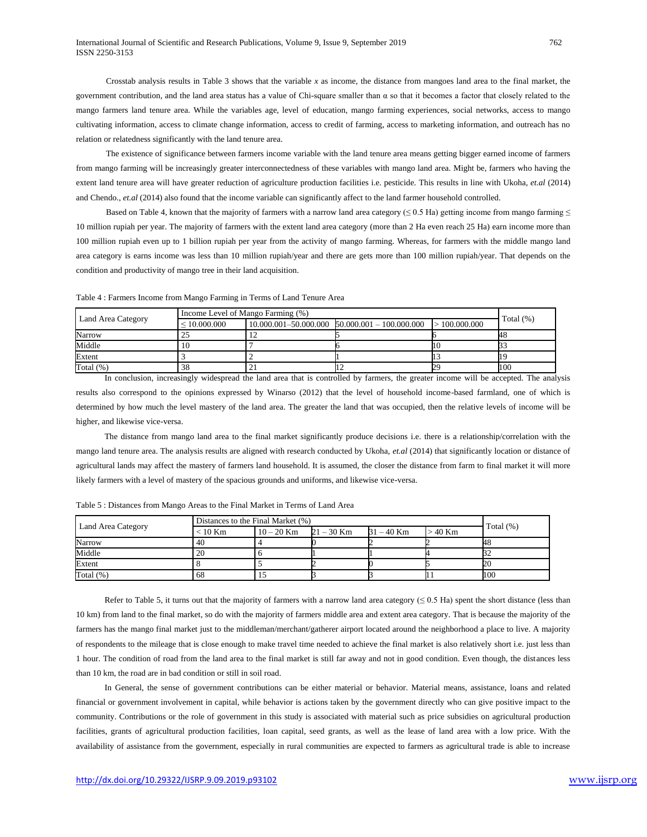Crosstab analysis results in Table 3 shows that the variable *x* as income, the distance from mangoes land area to the final market, the government contribution, and the land area status has a value of Chi-square smaller than α so that it becomes a factor that closely related to the mango farmers land tenure area. While the variables age, level of education, mango farming experiences, social networks, access to mango cultivating information, access to climate change information, access to credit of farming, access to marketing information, and outreach has no relation or relatedness significantly with the land tenure area.

The existence of significance between farmers income variable with the land tenure area means getting bigger earned income of farmers from mango farming will be increasingly greater interconnectedness of these variables with mango land area. Might be, farmers who having the extent land tenure area will have greater reduction of agriculture production facilities i.e. pesticide. This results in line with Ukoha, *et.al* (2014) and Chendo., *et.al* (2014) also found that the income variable can significantly affect to the land farmer household controlled.

Based on Table 4, known that the majority of farmers with a narrow land area category ( $\leq 0.5$  Ha) getting income from mango farming  $\leq$ 10 million rupiah per year. The majority of farmers with the extent land area category (more than 2 Ha even reach 25 Ha) earn income more than 100 million rupiah even up to 1 billion rupiah per year from the activity of mango farming. Whereas, for farmers with the middle mango land area category is earns income was less than 10 million rupiah/year and there are gets more than 100 million rupiah/year. That depends on the condition and productivity of mango tree in their land acquisition.

|                    |                   | Income Level of Mango Farming (%) |                                                      |                |              |  |
|--------------------|-------------------|-----------------------------------|------------------------------------------------------|----------------|--------------|--|
| Land Area Category | $\leq 10.000.000$ |                                   | $10.000.001 - 50.000.000$ $50.000.001 - 100.000.000$ | $-100.000.000$ | Total $(\%)$ |  |
| Narrow             |                   |                                   |                                                      |                | нo           |  |
| Middle             |                   |                                   |                                                      |                |              |  |
| Extent             |                   |                                   |                                                      |                |              |  |
| Total $(\%)$       | 38                |                                   |                                                      |                | 100          |  |

Table 4 : Farmers Income from Mango Farming in Terms of Land Tenure Area

In conclusion, increasingly widespread the land area that is controlled by farmers, the greater income will be accepted. The analysis results also correspond to the opinions expressed by Winarso (2012) that the level of household income-based farmland, one of which is determined by how much the level mastery of the land area. The greater the land that was occupied, then the relative levels of income will be higher, and likewise vice-versa.

The distance from mango land area to the final market significantly produce decisions i.e. there is a relationship/correlation with the mango land tenure area. The analysis results are aligned with research conducted by Ukoha, *et.al* (2014) that significantly location or distance of agricultural lands may affect the mastery of farmers land household. It is assumed, the closer the distance from farm to final market it will more likely farmers with a level of mastery of the spacious grounds and uniforms, and likewise vice-versa.

|                    | Distances to the Final Market (%) |              |              |              |         |              |
|--------------------|-----------------------------------|--------------|--------------|--------------|---------|--------------|
| Land Area Category | $< 10$ Km                         | $10 - 20$ Km | $21 - 30$ Km | $31 - 40$ Km | > 40 Km | Total $(\%)$ |
| Narrow             | 40                                |              |              |              |         |              |
| Middle             | 20                                |              |              |              |         |              |
| Extent             |                                   |              |              |              |         |              |
| Total $(\%)$       | 68                                |              |              |              |         | 100          |

Table 5 : Distances from Mango Areas to the Final Market in Terms of Land Area

Refer to Table 5, it turns out that the majority of farmers with a narrow land area category ( $\leq 0.5$  Ha) spent the short distance (less than 10 km) from land to the final market, so do with the majority of farmers middle area and extent area category. That is because the majority of the farmers has the mango final market just to the middleman/merchant/gatherer airport located around the neighborhood a place to live. A majority of respondents to the mileage that is close enough to make travel time needed to achieve the final market is also relatively short i.e. just less than 1 hour. The condition of road from the land area to the final market is still far away and not in good condition. Even though, the distances less than 10 km, the road are in bad condition or still in soil road.

In General, the sense of government contributions can be either material or behavior. Material means, assistance, loans and related financial or government involvement in capital, while behavior is actions taken by the government directly who can give positive impact to the community. Contributions or the role of government in this study is associated with material such as price subsidies on agricultural production facilities, grants of agricultural production facilities, loan capital, seed grants, as well as the lease of land area with a low price. With the availability of assistance from the government, especially in rural communities are expected to farmers as agricultural trade is able to increase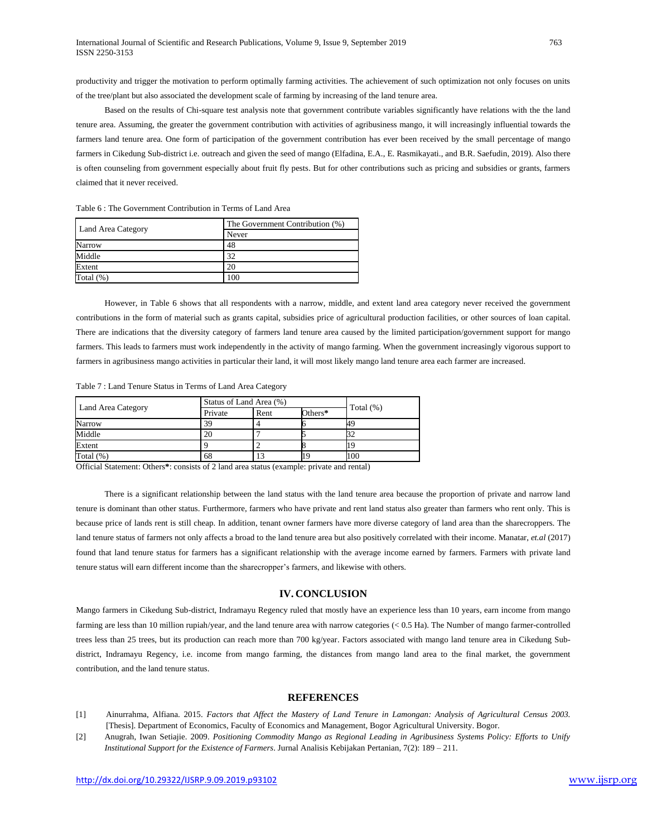productivity and trigger the motivation to perform optimally farming activities. The achievement of such optimization not only focuses on units of the tree/plant but also associated the development scale of farming by increasing of the land tenure area.

Based on the results of Chi-square test analysis note that government contribute variables significantly have relations with the the land tenure area. Assuming, the greater the government contribution with activities of agribusiness mango, it will increasingly influential towards the farmers land tenure area. One form of participation of the government contribution has ever been received by the small percentage of mango farmers in Cikedung Sub-district i.e. outreach and given the seed of mango (Elfadina, E.A., E. Rasmikayati., and B.R. Saefudin, 2019). Also there is often counseling from government especially about fruit fly pests. But for other contributions such as pricing and subsidies or grants, farmers claimed that it never received.

| Land Area Category | The Government Contribution (%) |  |  |  |
|--------------------|---------------------------------|--|--|--|
|                    | Never                           |  |  |  |
| Narrow             | 48                              |  |  |  |
| Middle             | 32                              |  |  |  |
| Extent             | 20                              |  |  |  |
| Total $(\%)$       | 100                             |  |  |  |

Table 6 : The Government Contribution in Terms of Land Area

However, in Table 6 shows that all respondents with a narrow, middle, and extent land area category never received the government contributions in the form of material such as grants capital, subsidies price of agricultural production facilities, or other sources of loan capital. There are indications that the diversity category of farmers land tenure area caused by the limited participation/government support for mango farmers. This leads to farmers must work independently in the activity of mango farming. When the government increasingly vigorous support to farmers in agribusiness mango activities in particular their land, it will most likely mango land tenure area each farmer are increased.

Table 7 : Land Tenure Status in Terms of Land Area Category

| Land Area Category | Status of Land Area (%) |      |         |              |
|--------------------|-------------------------|------|---------|--------------|
|                    | Private                 | Rent | Others* | Total $(\%)$ |
| Narrow             | 39                      |      |         |              |
| Middle             | 20                      |      |         |              |
| Extent             |                         |      |         |              |
| Total $(\%)$       | 68                      | 13   |         | 100          |

Official Statement: Others**\***: consists of 2 land area status (example: private and rental)

There is a significant relationship between the land status with the land tenure area because the proportion of private and narrow land tenure is dominant than other status. Furthermore, farmers who have private and rent land status also greater than farmers who rent only. This is because price of lands rent is still cheap. In addition, tenant owner farmers have more diverse category of land area than the sharecroppers. The land tenure status of farmers not only affects a broad to the land tenure area but also positively correlated with their income. Manatar, *et.al* (2017) found that land tenure status for farmers has a significant relationship with the average income earned by farmers. Farmers with private land tenure status will earn different income than the sharecropper's farmers, and likewise with others.

# **IV. CONCLUSION**

Mango farmers in Cikedung Sub-district, Indramayu Regency ruled that mostly have an experience less than 10 years, earn income from mango farming are less than 10 million rupiah/year, and the land tenure area with narrow categories (< 0.5 Ha). The Number of mango farmer-controlled trees less than 25 trees, but its production can reach more than 700 kg/year. Factors associated with mango land tenure area in Cikedung Subdistrict, Indramayu Regency, i.e. income from mango farming, the distances from mango land area to the final market, the government contribution, and the land tenure status.

### **REFERENCES**

- [1] Ainurrahma, Alfiana. 2015. *Factors that Affect the Mastery of Land Tenure in Lamongan: Analysis of Agricultural Census 2003.*  [Thesis]. Department of Economics, Faculty of Economics and Management, Bogor Agricultural University. Bogor.
- [2] Anugrah, Iwan Setiajie. 2009. *Positioning Commodity Mango as Regional Leading in Agribusiness Systems Policy: Efforts to Unify Institutional Support for the Existence of Farmers*. Jurnal Analisis Kebijakan Pertanian, 7(2): 189 – 211.